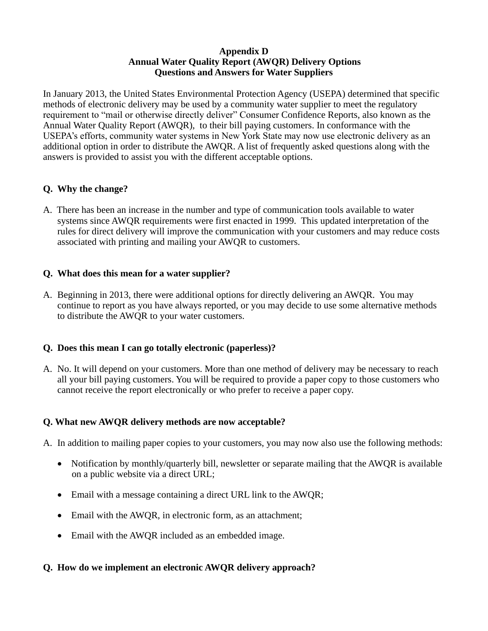#### **Appendix D Annual Water Quality Report (AWQR) Delivery Options Questions and Answers for Water Suppliers**

In January 2013, the United States Environmental Protection Agency (USEPA) determined that specific methods of electronic delivery may be used by a community water supplier to meet the regulatory requirement to "mail or otherwise directly deliver" Consumer Confidence Reports, also known as the Annual Water Quality Report (AWQR), to their bill paying customers. In conformance with the USEPA's efforts, community water systems in New York State may now use electronic delivery as an additional option in order to distribute the AWQR. A list of frequently asked questions along with the answers is provided to assist you with the different acceptable options.

# **Q. Why the change?**

A. There has been an increase in the number and type of communication tools available to water systems since AWQR requirements were first enacted in 1999. This updated interpretation of the rules for direct delivery will improve the communication with your customers and may reduce costs associated with printing and mailing your AWQR to customers.

## **Q. What does this mean for a water supplier?**

A. Beginning in 2013, there were additional options for directly delivering an AWQR. You may continue to report as you have always reported, or you may decide to use some alternative methods to distribute the AWQR to your water customers.

## **Q. Does this mean I can go totally electronic (paperless)?**

A. No. It will depend on your customers. More than one method of delivery may be necessary to reach all your bill paying customers. You will be required to provide a paper copy to those customers who cannot receive the report electronically or who prefer to receive a paper copy.

## **Q. What new AWQR delivery methods are now acceptable?**

- A. In addition to mailing paper copies to your customers, you may now also use the following methods:
	- Notification by monthly/quarterly bill, newsletter or separate mailing that the AWQR is available on a public website via a direct URL;
	- Email with a message containing a direct URL link to the AWQR;
	- Email with the AWOR, in electronic form, as an attachment;
	- Email with the AWQR included as an embedded image.

## **Q. How do we implement an electronic AWQR delivery approach?**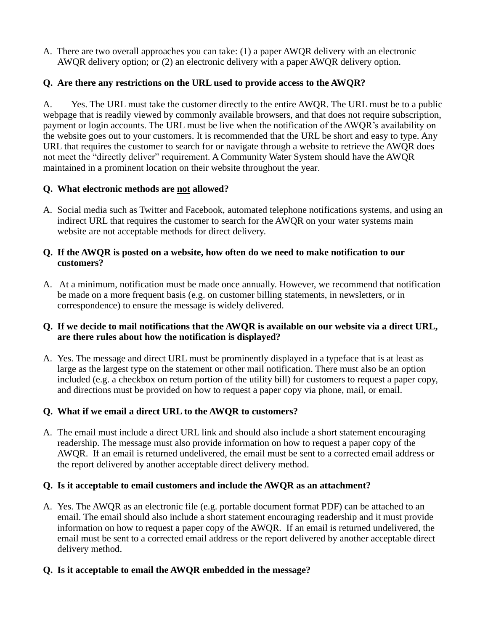A. There are two overall approaches you can take: (1) a paper AWQR delivery with an electronic AWQR delivery option; or (2) an electronic delivery with a paper AWQR delivery option.

# **Q. Are there any restrictions on the URL used to provide access to the AWQR?**

A. Yes. The URL must take the customer directly to the entire AWQR. The URL must be to a public webpage that is readily viewed by commonly available browsers, and that does not require subscription, payment or login accounts. The URL must be live when the notification of the AWQR's availability on the website goes out to your customers. It is recommended that the URL be short and easy to type. Any URL that requires the customer to search for or navigate through a website to retrieve the AWQR does not meet the "directly deliver" requirement. A Community Water System should have the AWQR maintained in a prominent location on their website throughout the year.

## **Q. What electronic methods are not allowed?**

A. Social media such as Twitter and Facebook, automated telephone notifications systems, and using an indirect URL that requires the customer to search for the AWQR on your water systems main website are not acceptable methods for direct delivery.

#### **Q. If the AWQR is posted on a website, how often do we need to make notification to our customers?**

A. At a minimum, notification must be made once annually. However, we recommend that notification be made on a more frequent basis (e.g. on customer billing statements, in newsletters, or in correspondence) to ensure the message is widely delivered.

## **Q. If we decide to mail notifications that the AWQR is available on our website via a direct URL, are there rules about how the notification is displayed?**

A. Yes. The message and direct URL must be prominently displayed in a typeface that is at least as large as the largest type on the statement or other mail notification. There must also be an option included (e.g. a checkbox on return portion of the utility bill) for customers to request a paper copy, and directions must be provided on how to request a paper copy via phone, mail, or email.

# **Q. What if we email a direct URL to the AWQR to customers?**

A. The email must include a direct URL link and should also include a short statement encouraging readership. The message must also provide information on how to request a paper copy of the AWQR. If an email is returned undelivered, the email must be sent to a corrected email address or the report delivered by another acceptable direct delivery method.

## **Q. Is it acceptable to email customers and include the AWQR as an attachment?**

A. Yes. The AWQR as an electronic file (e.g. portable document format PDF) can be attached to an email. The email should also include a short statement encouraging readership and it must provide information on how to request a paper copy of the AWQR. If an email is returned undelivered, the email must be sent to a corrected email address or the report delivered by another acceptable direct delivery method.

## **Q. Is it acceptable to email the AWQR embedded in the message?**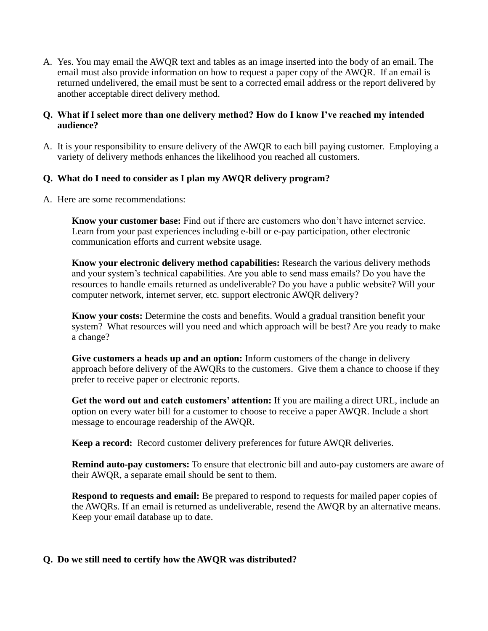A. Yes. You may email the AWQR text and tables as an image inserted into the body of an email. The email must also provide information on how to request a paper copy of the AWQR. If an email is returned undelivered, the email must be sent to a corrected email address or the report delivered by another acceptable direct delivery method.

#### **Q. What if I select more than one delivery method? How do I know I've reached my intended audience?**

A. It is your responsibility to ensure delivery of the AWQR to each bill paying customer. Employing a variety of delivery methods enhances the likelihood you reached all customers.

## **Q. What do I need to consider as I plan my AWQR delivery program?**

A. Here are some recommendations:

**Know your customer base:** Find out if there are customers who don't have internet service. Learn from your past experiences including e-bill or e-pay participation, other electronic communication efforts and current website usage.

**Know your electronic delivery method capabilities:** Research the various delivery methods and your system's technical capabilities. Are you able to send mass emails? Do you have the resources to handle emails returned as undeliverable? Do you have a public website? Will your computer network, internet server, etc. support electronic AWQR delivery?

**Know your costs:** Determine the costs and benefits. Would a gradual transition benefit your system? What resources will you need and which approach will be best? Are you ready to make a change?

**Give customers a heads up and an option:** Inform customers of the change in delivery approach before delivery of the AWQRs to the customers. Give them a chance to choose if they prefer to receive paper or electronic reports.

**Get the word out and catch customers' attention:** If you are mailing a direct URL, include an option on every water bill for a customer to choose to receive a paper AWQR. Include a short message to encourage readership of the AWQR.

**Keep a record:** Record customer delivery preferences for future AWQR deliveries.

**Remind auto-pay customers:** To ensure that electronic bill and auto-pay customers are aware of their AWQR, a separate email should be sent to them.

**Respond to requests and email:** Be prepared to respond to requests for mailed paper copies of the AWQRs. If an email is returned as undeliverable, resend the AWQR by an alternative means. Keep your email database up to date.

#### **Q. Do we still need to certify how the AWQR was distributed?**